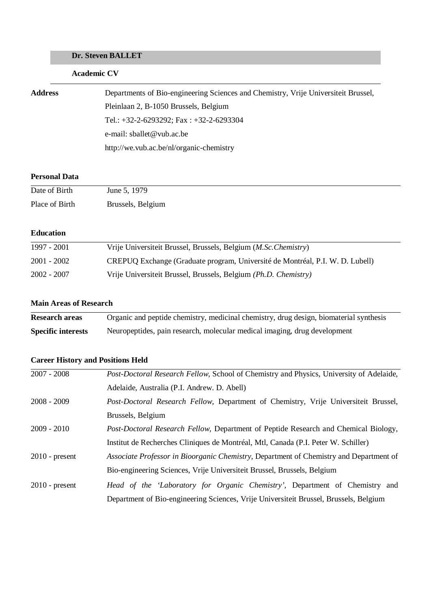# **Dr. Steven BALLET**

# **Academic CV**

| <b>Address</b> | Departments of Bio-engineering Sciences and Chemistry, Vrije Universiteit Brussel, |
|----------------|------------------------------------------------------------------------------------|
|                | Pleinlaan 2, B-1050 Brussels, Belgium                                              |
|                | Tel.: $+32-2-6293292$ ; Fax: $+32-2-6293304$                                       |
|                | e-mail: sballet@vub.ac.be                                                          |
|                | http://we.vub.ac.be/nl/organic-chemistry                                           |

### **Personal Data**

| Date of Birth  | June 5, 1979      |
|----------------|-------------------|
| Place of Birth | Brussels, Belgium |

### **Education**

| 1997 - 2001   | Vrije Universiteit Brussel, Brussels, Belgium (M.Sc. Chemistry)               |
|---------------|-------------------------------------------------------------------------------|
| 2001 - 2002   | CREPUQ Exchange (Graduate program, Université de Montréal, P.I. W. D. Lubell) |
| $2002 - 2007$ | Vrije Universiteit Brussel, Brussels, Belgium (Ph.D. Chemistry)               |

## **Main Areas of Research**

| <b>Research areas</b>     | Organic and peptide chemistry, medicinal chemistry, drug design, biomaterial synthesis |
|---------------------------|----------------------------------------------------------------------------------------|
| <b>Specific interests</b> | Neuropeptides, pain research, molecular medical imaging, drug development              |

# **Career History and Positions Held**

| $2007 - 2008$    | <i>Post-Doctoral Research Fellow, School of Chemistry and Physics, University of Adelaide,</i> |
|------------------|------------------------------------------------------------------------------------------------|
|                  | Adelaide, Australia (P.I. Andrew. D. Abell)                                                    |
| $2008 - 2009$    | Post-Doctoral Research Fellow, Department of Chemistry, Vrije Universiteit Brussel,            |
|                  | Brussels, Belgium                                                                              |
| $2009 - 2010$    | <i>Post-Doctoral Research Fellow, Department of Peptide Research and Chemical Biology,</i>     |
|                  | Institut de Recherches Cliniques de Montréal, Mtl, Canada (P.I. Peter W. Schiller)             |
| $2010$ - present | Associate Professor in Bioorganic Chemistry, Department of Chemistry and Department of         |
|                  | Bio-engineering Sciences, Vrije Universiteit Brussel, Brussels, Belgium                        |
| $2010$ - present | Head of the 'Laboratory for Organic Chemistry', Department of Chemistry and                    |
|                  | Department of Bio-engineering Sciences, Vrije Universiteit Brussel, Brussels, Belgium          |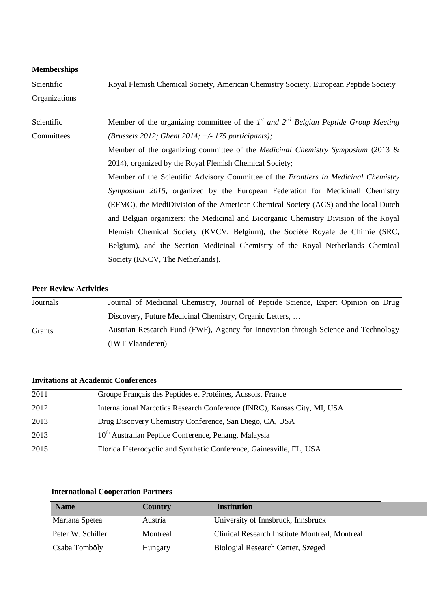| <b>Memberships</b> |                                                                                               |
|--------------------|-----------------------------------------------------------------------------------------------|
| Scientific         | Royal Flemish Chemical Society, American Chemistry Society, European Peptide Society          |
| Organizations      |                                                                                               |
| Scientific         | Member of the organizing committee of the $I^{st}$ and $2^{nd}$ Belgian Peptide Group Meeting |
| Committees         | (Brussels 2012; Ghent 2014; $+/-$ 175 participants);                                          |
|                    | Member of the organizing committee of the <i>Medicinal Chemistry Symposium</i> (2013 &        |
|                    | 2014), organized by the Royal Flemish Chemical Society;                                       |
|                    | Member of the Scientific Advisory Committee of the Frontiers in Medicinal Chemistry           |
|                    | Symposium 2015, organized by the European Federation for Medicinall Chemistry                 |
|                    | (EFMC), the MediDivision of the American Chemical Society (ACS) and the local Dutch           |
|                    | and Belgian organizers: the Medicinal and Bioorganic Chemistry Division of the Royal          |
|                    | Flemish Chemical Society (KVCV, Belgium), the Société Royale de Chimie (SRC,                  |
|                    | Belgium), and the Section Medicinal Chemistry of the Royal Netherlands Chemical               |
|                    | Society (KNCV, The Netherlands).                                                              |

### **Peer Review Activities**

| Journals | Journal of Medicinal Chemistry, Journal of Peptide Science, Expert Opinion on Drug |
|----------|------------------------------------------------------------------------------------|
|          | Discovery, Future Medicinal Chemistry, Organic Letters,                            |
| Grants   | Austrian Research Fund (FWF), Agency for Innovation through Science and Technology |
|          | (IWT Vlaanderen)                                                                   |

# **Invitations at Academic Conferences**

| 2011 | Groupe Français des Peptides et Protéines, Aussois, France               |
|------|--------------------------------------------------------------------------|
| 2012 | International Narcotics Research Conference (INRC), Kansas City, MI, USA |
| 2013 | Drug Discovery Chemistry Conference, San Diego, CA, USA                  |
| 2013 | 10 <sup>th</sup> Australian Peptide Conference, Penang, Malaysia         |
| 2015 | Florida Heterocyclic and Synthetic Conference, Gainesville, FL, USA      |

# **International Cooperation Partners**

| <b>Name</b>       | Country  | <b>Institution</b>                             |
|-------------------|----------|------------------------------------------------|
| Mariana Spetea    | Austria  | University of Innsbruck, Innsbruck             |
| Peter W. Schiller | Montreal | Clinical Research Institute Montreal, Montreal |
| Csaba Tomböly     | Hungary  | Biologial Research Center, Szeged              |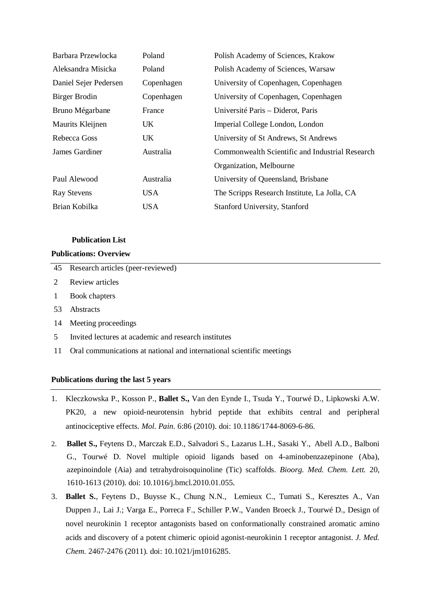| Barbara Przewlocka    | Poland     | Polish Academy of Sciences, Krakow              |
|-----------------------|------------|-------------------------------------------------|
| Aleksandra Misicka    | Poland     | Polish Academy of Sciences, Warsaw              |
| Daniel Sejer Pedersen | Copenhagen | University of Copenhagen, Copenhagen            |
| Birger Brodin         | Copenhagen | University of Copenhagen, Copenhagen            |
| Bruno Mégarbane       | France     | Université Paris – Diderot, Paris               |
| Maurits Kleijnen      | UK.        | Imperial College London, London                 |
| Rebecca Goss          | UK.        | University of St Andrews, St Andrews            |
| James Gardiner        | Australia  | Commonwealth Scientific and Industrial Research |
|                       |            | Organization, Melbourne                         |
| Paul Alewood          | Australia  | University of Queensland, Brisbane              |
| <b>Ray Stevens</b>    | USA        | The Scripps Research Institute, La Jolla, CA    |
| Brian Kobilka         | USA        | Stanford University, Stanford                   |

#### **Publication List**

#### **Publications: Overview**

|   | 45 Research articles (peer-reviewed) |
|---|--------------------------------------|
|   | 2 Review articles                    |
| 1 | Book chapters                        |

- 53 Abstracts
- 14 Meeting proceedings
- 5 Invited lectures at academic and research institutes
- 11 Oral communications at national and international scientific meetings

#### **Publications during the last 5 years**

- 1. Kleczkowska P., Kosson P., **Ballet S.,** Van den Eynde I., Tsuda Y., Tourwé D., Lipkowski A.W. PK20, a new opioid-neurotensin hybrid peptide that exhibits central and peripheral antinociceptive effects. *Mol. Pain*. 6:86 (2010). doi: 10.1186/1744-8069-6-86.
- 2. **Ballet S.,** Feytens D., Marczak E.D., Salvadori S., Lazarus L.H., Sasaki Y., Abell A.D., Balboni G., Tourwé D. Novel multiple opioid ligands based on 4-aminobenzazepinone (Aba), azepinoindole (Aia) and tetrahydroisoquinoline (Tic) scaffolds. *Bioorg. Med. Chem. Lett.* 20, 1610-1613 (2010). doi: 10.1016/j.bmcl.2010.01.055.
- 3. **Ballet S.**, Feytens D., Buysse K., Chung N.N., Lemieux C., Tumati S., Keresztes A., Van Duppen J., Lai J.; Varga E., Porreca F., Schiller P.W., Vanden Broeck J., Tourwé D., Design of novel neurokinin 1 receptor antagonists based on conformationally constrained aromatic amino acids and discovery of a potent chimeric opioid agonist-neurokinin 1 receptor antagonist. *J. Med. Chem.* 2467-2476 (2011). doi: 10.1021/jm1016285.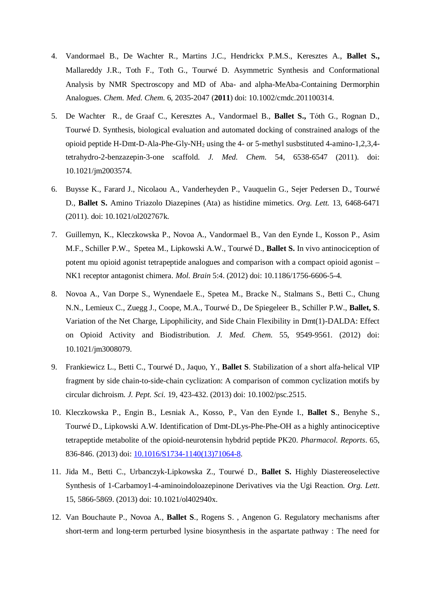- 4. Vandormael B., De Wachter R., Martins J.C., Hendrickx P.M.S., Keresztes A., **Ballet S.,** Mallareddy J.R., Toth F., Toth G., Tourwé D. Asymmetric Synthesis and Conformational Analysis by NMR Spectroscopy and MD of Aba- and alpha-MeAba-Containing Dermorphin Analogues. *Chem. Med. Chem*. 6, 2035-2047 (**2011**) doi: 10.1002/cmdc.201100314.
- 5. De Wachter R., de Graaf C., Keresztes A., Vandormael B., **Ballet S.,** Tόth G., Rognan D., Tourwé D. Synthesis, biological evaluation and automated docking of constrained analogs of the opioid peptide H-Dmt-D-Ala-Phe-Gly-NH<sub>2</sub> using the 4- or 5-methyl susbstituted 4-amino-1,2,3,4tetrahydro-2-benzazepin-3-one scaffold. *J. Med. Chem.* 54, 6538-6547 (2011). doi: 10.1021/jm2003574.
- 6. Buysse K., Farard J., Nicolaou A., Vanderheyden P., Vauquelin G., Sejer Pedersen D., Tourwé D., **Ballet S.** Amino Triazolo Diazepines (Ata) as histidine mimetics. *Org. Lett.* 13, 6468-6471 (2011). doi: 10.1021/ol202767k.
- 7. Guillemyn, K., Kleczkowska P., Novoa A., Vandormael B., Van den Eynde I., Kosson P., Asim M.F., Schiller P.W., Spetea M., Lipkowski A.W., Tourwé D., **Ballet S.** In vivo antinociception of potent mu opioid agonist tetrapeptide analogues and comparison with a compact opioid agonist – NK1 receptor antagonist chimera. *Mol. Brain* 5:4. (2012) doi: 10.1186/1756-6606-5-4.
- 8. Novoa A., Van Dorpe S., Wynendaele E., Spetea M., Bracke N., Stalmans S., Betti C., Chung N.N., Lemieux C., Zuegg J., Coope, M.A., Tourwé D., De Spiegeleer B., Schiller P.W., **Ballet, S**. Variation of the Net Charge, Lipophilicity, and Side Chain Flexibility in Dmt(1)-DALDA: Effect on Opioid Activity and Biodistribution. *J. Med. Chem*. 55, 9549-9561. (2012) doi: 10.1021/jm3008079.
- 9. Frankiewicz L., Betti C., Tourwé D., Jaquo, Y., **Ballet S**. Stabilization of a short alfa-helical VIP fragment by side chain-to-side-chain cyclization: A comparison of common cyclization motifs by circular dichroism. *J. Pept. Sci.* 19, 423-432. (2013) doi: 10.1002/psc.2515.
- 10. Kleczkowska P., Engin B., Lesniak A., Kosso, P., Van den Eynde I., **Ballet S**., Benyhe S., Tourwé D., Lipkowski A.W. Identification of Dmt-DLys-Phe-Phe-OH as a highly antinociceptive tetrapeptide metabolite of the opioid-neurotensin hybdrid peptide PK20. *Pharmacol. Reports*. 65, 836-846. (2013) doi: 10.1016/S1734-1140(13)71064-8.
- 11. Jida M., Betti C., Urbanczyk-Lipkowska Z., Tourwé D., **Ballet S.** Highly Diastereoselective Synthesis of 1-Carbamoy1-4-aminoindoloazepinone Derivatives via the Ugi Reaction. *Org. Lett*. 15, 5866-5869. (2013) doi: 10.1021/ol402940x.
- 12. Van Bouchaute P., Novoa A., **Ballet S**., Rogens S. , Angenon G. Regulatory mechanisms after short-term and long-term perturbed lysine biosynthesis in the aspartate pathway : The need for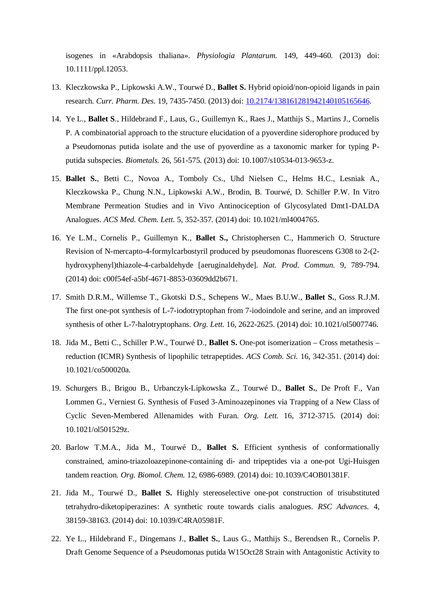isogenes in «Arabdopsis thaliana». *Physiologia Plantarum.* 149, 449-460. (2013) doi: 10.1111/ppl.12053.

- 13. Kleczkowska P., Lipkowski A.W., Tourwé D., **Ballet S.** Hybrid opioid/non-opioid ligands in pain research. *Curr. Pharm. Des.* 19, 7435-7450. (2013) doi: 10.2174/138161281942140105165646.
- 14. Ye L., **Ballet S**., Hildebrand F., Laus, G., Guillemyn K., Raes J., Matthijs S., Martins J., Cornelis P. A combinatorial approach to the structure elucidation of a pyoverdine siderophore produced by a Pseudomonas putida isolate and the use of pyoverdine as a taxonomic marker for typing Pputida subspecies. *Biometals.* 26, 561-575. (2013) doi: 10.1007/s10534-013-9653-z.
- 15. **Ballet S.**, Betti C., Novoa A., Tomboly Cs., Uhd Nielsen C., Helms H.C., Lesniak A., Kleczkowska P., Chung N.N., Lipkowski A.W., Brodin, B. Tourwé, D. Schiller P.W. In Vitro Membrane Permeation Studies and in Vivo Antinociception of Glycosylated Dmt1-DALDA Analogues. *ACS Med. Chem. Lett.* 5, 352-357. (2014) doi: 10.1021/ml4004765.
- 16. Ye L.M., Cornelis P., Guillemyn K., **Ballet S.,** Christophersen C., Hammerich O. Structure Revision of N-mercapto-4-formylcarbostyril produced by pseudomonas fluorescens G308 to 2-(2 hydroxyphenyl)thiazole-4-carbaldehyde [aeruginaldehyde]. *Nat. Prod. Commun.* 9, 789-794. (2014) doi: c00f54ef-a5bf-4671-8853-03609dd2b671.
- 17. Smith D.R.M., Willemse T., Gkotski D.S., Schepens W., Maes B.U.W., **Ballet S.**, Goss R.J.M. The first one-pot synthesis of L-7-iodotryptophan from 7-iodoindole and serine, and an improved synthesis of other L-7-halotryptophans. *Org. Lett.* 16, 2622-2625. (2014) doi: 10.1021/ol5007746.
- 18. Jida M., Betti C., Schiller P.W., Tourwé D., **Ballet S.** One-pot isomerization Cross metathesis reduction (ICMR) Synthesis of lipophilic tetrapeptides. *ACS Comb. Sci.* 16, 342-351. (2014) doi: 10.1021/co500020a.
- 19. Schurgers B., Brigou B., Urbanczyk-Lipkowska Z., Tourwé D., **Ballet S.**, De Proft F., Van Lommen G., Verniest G. Synthesis of Fused 3-Aminoazepinones via Trapping of a New Class of Cyclic Seven-Membered Allenamides with Furan. *Org. Lett.* 16, 3712-3715. (2014) doi: 10.1021/ol501529z.
- 20. Barlow T.M.A., Jida M., Tourwé D., **Ballet S.** Efficient synthesis of conformationally constrained, amino-triazoloazepinone-containing di- and tripeptides via a one-pot Ugi-Huisgen tandem reaction. *Org. Biomol. Chem.* 12, 6986-6989. (2014) doi: 10.1039/C4OB01381F.
- 21. Jida M., Tourwé D., **Ballet S.** Highly stereoselective one-pot construction of trisubstituted tetrahydro-diketopiperazines: A synthetic route towards cialis analogues. *RSC Advances.* 4, 38159-38163. (2014) doi: 10.1039/C4RA05981F.
- 22. Ye L., Hildebrand F., Dingemans J., **Ballet S.**, Laus G., Matthijs S., Berendsen R., Cornelis P. Draft Genome Sequence of a Pseudomonas putida W15Oct28 Strain with Antagonistic Activity to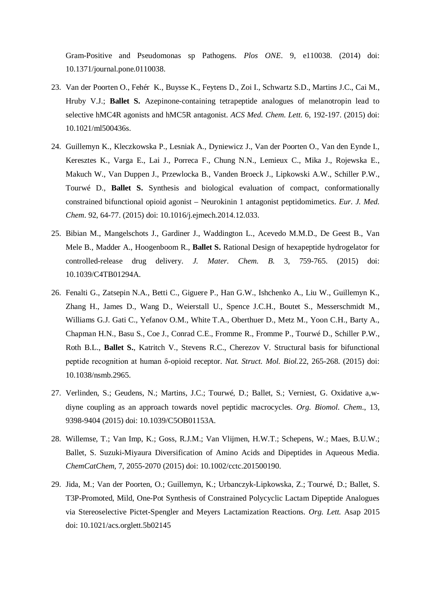Gram-Positive and Pseudomonas sp Pathogens. *Plos ONE*. 9, e110038. (2014) doi: 10.1371/journal.pone.0110038.

- 23. Van der Poorten O., Fehér K., Buysse K., Feytens D., Zoi I., Schwartz S.D., Martins J.C., Cai M., Hruby V.J.; **Ballet S.** Azepinone-containing tetrapeptide analogues of melanotropin lead to selective hMC4R agonists and hMC5R antagonist. *ACS Med. Chem. Lett.* 6, 192-197. (2015) doi: 10.1021/ml500436s.
- 24. Guillemyn K., Kleczkowska P., Lesniak A., Dyniewicz J., Van der Poorten O., Van den Eynde I., Keresztes K., Varga E., Lai J., Porreca F., Chung N.N., Lemieux C., Mika J., Rojewska E., Makuch W., Van Duppen J., Przewlocka B., Vanden Broeck J., Lipkowski A.W., Schiller P.W., Tourwé D., **Ballet S.** Synthesis and biological evaluation of compact, conformationally constrained bifunctional opioid agonist – Neurokinin 1 antagonist peptidomimetics. *Eur. J. Med. Chem*. 92, 64-77. (2015) doi: 10.1016/j.ejmech.2014.12.033.
- 25. Bibian M., Mangelschots J., Gardiner J., Waddington L., Acevedo M.M.D., De Geest B., Van Mele B., Madder A., Hoogenboom R., **Ballet S.** Rational Design of hexapeptide hydrogelator for controlled-release drug delivery. *J. Mater. Chem. B.* 3, 759-765. (2015) doi: 10.1039/C4TB01294A.
- 26. Fenalti G., Zatsepin N.A., Betti C., Giguere P., Han G.W., Ishchenko A., Liu W., Guillemyn K., Zhang H., James D., Wang D., Weierstall U., Spence J.C.H., Boutet S., Messerschmidt M., Williams G.J. Gati C., Yefanov O.M., White T.A., Oberthuer D., Metz M., Yoon C.H., Barty A., Chapman H.N., Basu S., Coe J., Conrad C.E., Fromme R., Fromme P., Tourwé D., Schiller P.W., Roth B.L., **Ballet S.**, Katritch V., Stevens R.C., Cherezov V. Structural basis for bifunctional peptide recognition at human δ-opioid receptor. *Nat. Struct. Mol. Biol.*22, 265-268. (2015) doi: 10.1038/nsmb.2965.
- 27. Verlinden, S.; Geudens, N.; Martins, J.C.; Tourwé, D.; Ballet, S.; Verniest, G. Oxidative a,wdiyne coupling as an approach towards novel peptidic macrocycles. *Org. Biomol. Chem*., 13, 9398-9404 (2015) doi: 10.1039/C5OB01153A.
- 28. Willemse, T.; Van Imp, K.; Goss, R.J.M.; Van Vlijmen, H.W.T.; Schepens, W.; Maes, B.U.W.; Ballet, S. Suzuki-Miyaura Diversification of Amino Acids and Dipeptides in Aqueous Media. *ChemCatChem*, 7, 2055-2070 (2015) doi: 10.1002/cctc.201500190.
- 29. Jida, M.; Van der Poorten, O.; Guillemyn, K.; Urbanczyk-Lipkowska, Z.; Tourwé, D.; Ballet, S. T3P-Promoted, Mild, One-Pot Synthesis of Constrained Polycyclic Lactam Dipeptide Analogues via Stereoselective Pictet-Spengler and Meyers Lactamization Reactions. *Org. Lett.* Asap 2015 doi: 10.1021/acs.orglett.5b02145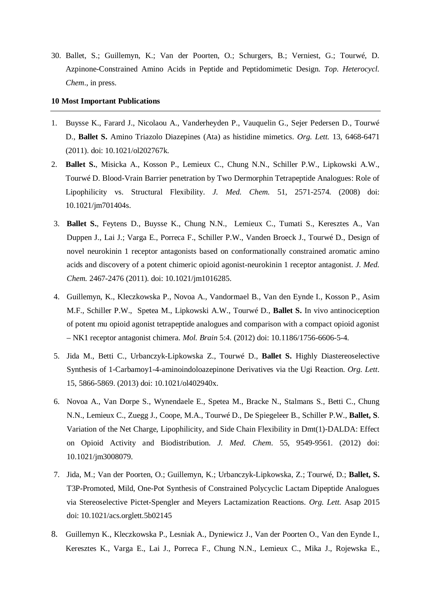30. Ballet, S.; Guillemyn, K.; Van der Poorten, O.; Schurgers, B.; Verniest, G.; Tourwé, D. Azpinone-Constrained Amino Acids in Peptide and Peptidomimetic Design. *Top. Heterocycl. Chem*., in press.

#### **10 Most Important Publications**

- 1. Buysse K., Farard J., Nicolaou A., Vanderheyden P., Vauquelin G., Sejer Pedersen D., Tourwé D., **Ballet S.** Amino Triazolo Diazepines (Ata) as histidine mimetics. *Org. Lett.* 13, 6468-6471 (2011). doi: 10.1021/ol202767k.
- 2. **Ballet S.**, Misicka A., Kosson P., Lemieux C., Chung N.N., Schiller P.W., Lipkowski A.W., Tourwé D. Blood-Vrain Barrier penetration by Two Dermorphin Tetrapeptide Analogues: Role of Lipophilicity vs. Structural Flexibility. *J. Med. Chem.* 51, 2571-2574. (2008) doi: 10.1021/jm701404s.
- 3. **Ballet S.**, Feytens D., Buysse K., Chung N.N., Lemieux C., Tumati S., Keresztes A., Van Duppen J., Lai J.; Varga E., Porreca F., Schiller P.W., Vanden Broeck J., Tourwé D., Design of novel neurokinin 1 receptor antagonists based on conformationally constrained aromatic amino acids and discovery of a potent chimeric opioid agonist-neurokinin 1 receptor antagonist. *J. Med. Chem.* 2467-2476 (2011). doi: 10.1021/jm1016285.
- 4. Guillemyn, K., Kleczkowska P., Novoa A., Vandormael B., Van den Eynde I., Kosson P., Asim M.F., Schiller P.W., Spetea M., Lipkowski A.W., Tourwé D., **Ballet S.** In vivo antinociception of potent mu opioid agonist tetrapeptide analogues and comparison with a compact opioid agonist – NK1 receptor antagonist chimera. *Mol. Brain* 5:4. (2012) doi: 10.1186/1756-6606-5-4.
- 5. Jida M., Betti C., Urbanczyk-Lipkowska Z., Tourwé D., **Ballet S.** Highly Diastereoselective Synthesis of 1-Carbamoy1-4-aminoindoloazepinone Derivatives via the Ugi Reaction. *Org. Lett*. 15, 5866-5869. (2013) doi: 10.1021/ol402940x.
- 6. Novoa A., Van Dorpe S., Wynendaele E., Spetea M., Bracke N., Stalmans S., Betti C., Chung N.N., Lemieux C., Zuegg J., Coope, M.A., Tourwé D., De Spiegeleer B., Schiller P.W., **Ballet, S**. Variation of the Net Charge, Lipophilicity, and Side Chain Flexibility in Dmt(1)-DALDA: Effect on Opioid Activity and Biodistribution. *J. Med. Chem*. 55, 9549-9561. (2012) doi: 10.1021/jm3008079.
- 7. Jida, M.; Van der Poorten, O.; Guillemyn, K.; Urbanczyk-Lipkowska, Z.; Tourwé, D.; **Ballet, S.** T3P-Promoted, Mild, One-Pot Synthesis of Constrained Polycyclic Lactam Dipeptide Analogues via Stereoselective Pictet-Spengler and Meyers Lactamization Reactions. *Org. Lett.* Asap 2015 doi: 10.1021/acs.orglett.5b02145
- 8. Guillemyn K., Kleczkowska P., Lesniak A., Dyniewicz J., Van der Poorten O., Van den Eynde I., Keresztes K., Varga E., Lai J., Porreca F., Chung N.N., Lemieux C., Mika J., Rojewska E.,